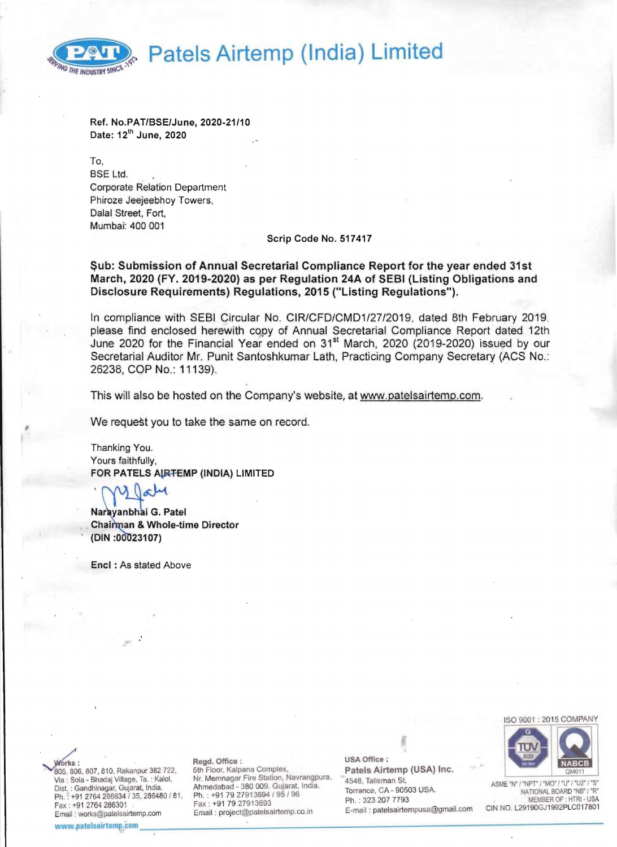<sup>~</sup>**Patels Airtemp (India) Limited** 



Ref. No.PATlBSE/June, 2020-21/10 Date: 12th June, 2020

To, BSE Ltd. Corporate Relation Department Phiroze Jeejeebhoy Towers, Dalal Street, Fort, Mumbai: 400 001

### Serip Code No. 517417

Sub: Submission of Annual Secretarial Compliance Report for the year ended 31st March, 2020 (FY. 2019-2020) as per Regulation 24A of SEBI (Listing Obligations and Disclosure Requirements) Regulations, 2015 ("Listing Regulations").

In compliance with SEBI Circular No. CIR/CFD/CMD1/27/2019, dated 8th February 2019. please find enclosed herewith copy of Annual Secretarial Compliance Report dated 12th June 2020 for the Financial Year ended on 31<sup>st</sup> March, 2020 (2019-2020) issued by our Secretarial Auditor Mr. Punit Santoshkumar Lath, Practicing Company Secretary (ACS No.: 26238, COP No.: 11139). .

This will also be hosted on the Company's website, at www.patelsairtemp.com.

We request you to take the same on record.

Thanking You. Yours faithfully, FOR PATELS AIRTEMP (INDIA) LIMITED

 $\alpha$ 

Naravanbhai G. Patel Chairman & Whole-time Director (DIN:00023107)

Enel : As stated Above



forks: 805, 806, 807, 810, Rakanpur 382 722,<br>Via : Sola - Bhadaj Village, Ta. : Kalol, Fax : +91 2764 286301 Fax : +91 79 27913693 Fax = Hn : 323 207 71 93<br>Email : works@patelsairtemp.com Email : project@patelsairtemp.co.in E-mail : patelsairtempusa@gmail.com CIN NO. L29190GJ1992PLC017801<br>www.patelsairtemp.c Fax : +91 27 2000 : +91 2000 : +91 2000 : +91 2000 : +91 279 2000 : +91 2764 : +91 2764 . E-mail: project@patelsairtemp.co.in E-mail: patelsairtempusa@gmail.com

#### Regd. Office :

5th Floor , Kalpana Complex, Via: Sola - Bhadaj Village, Ta.: Kalol, Nr. Memnagar Fire Station, Navrangpura, 2648, Talisman St, 2002), ASME "N" / "NPT" / "MO" / "U" / "U2" / "S"<br>Dist.: Gandhinagar, Gujarat, India. Ahmedabad - 380 009. Gujarat, India. Ph. : +91 2764 286634 / 35, 286480 / 81, Ph. : +91 79 27913694 / 95 / 96<br>Fax : +91 79 27913693 Ph. : 323 207 7793 MEMBER OF : HTRI- USA<br>F-mail : patelsaintempusa@omail.com CIN NO. L29190GJ1992PLC017801

USA Office : Patels Airtemp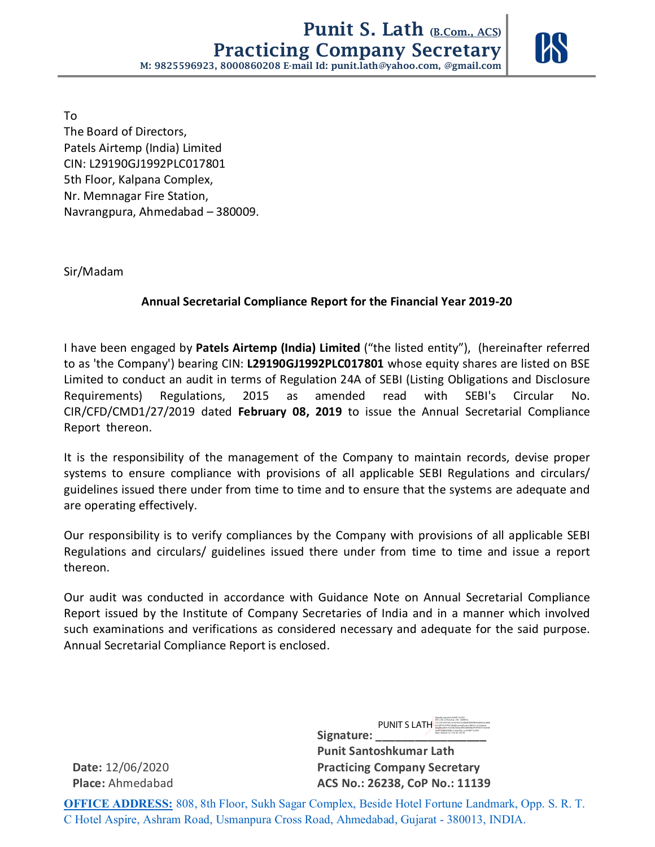

To The Board of Directors, Patels Airtemp (India) Limited CIN: L29190GJ1992PLC017801 5th Floor, Kalpana Complex, Nr. Memnagar Fire Station, Navrangpura, Ahmedabad – 380009.

Sir/Madam

## **Annual Secretarial Compliance Report for the Financial Year 2019-20**

I have been engaged by **Patels Airtemp (India) Limited** ("the listed entity"), (hereinafter referred to as 'the Company') bearing CIN: **L29190GJ1992PLC017801** whose equity shares are listed on BSE Limited to conduct an audit in terms of Regulation 24A of SEBI (Listing Obligations and Disclosure Requirements) Regulations, 2015 as amended read with SEBI's Circular No. CIR/CFD/CMD1/27/2019 dated **February 08, 2019** to issue the Annual Secretarial Compliance Report thereon.

It is the responsibility of the management of the Company to maintain records, devise proper systems to ensure compliance with provisions of all applicable SEBI Regulations and circulars/ guidelines issued there under from time to time and to ensure that the systems are adequate and are operating effectively.

Our responsibility is to verify compliances by the Company with provisions of all applicable SEBI Regulations and circulars/ guidelines issued there under from time to time and issue a report thereon.

Our audit was conducted in accordance with Guidance Note on Annual Secretarial Compliance Report issued by the Institute of Company Secretaries of India and in a manner which involved such examinations and verifications as considered necessary and adequate for the said purpose. Annual Secretarial Compliance Report is enclosed.

Signature:  **Punit Santoshkumar Lath Date:** 12/06/2020 **Practicing Company Secretary Place:** Ahmedabad **ACS No.: 26238, CoP No.: 11139**  PUNIT S LATH 63c28770c07f5672be80, postalCode=380015, st=Gujarat, dc89210845939841c1dc4cf2d, cn=PUNIT S LATH Date: 2020.06.12 17:01:30 +05'30'

Digitally signed by PUNIT S LATH DN: c=IN, o=Personal , CID - 6589953, 2.5.4.20=d7f160cc5c3d16b132e48ab2f5f098962af042cedd0b

**OFFICE ADDRESS:** 808, 8th Floor, Sukh Sagar Complex, Beside Hotel Fortune Landmark, Opp. S. R. T. C Hotel Aspire, Ashram Road, Usmanpura Cross Road, Ahmedabad, Gujarat - 380013, INDIA.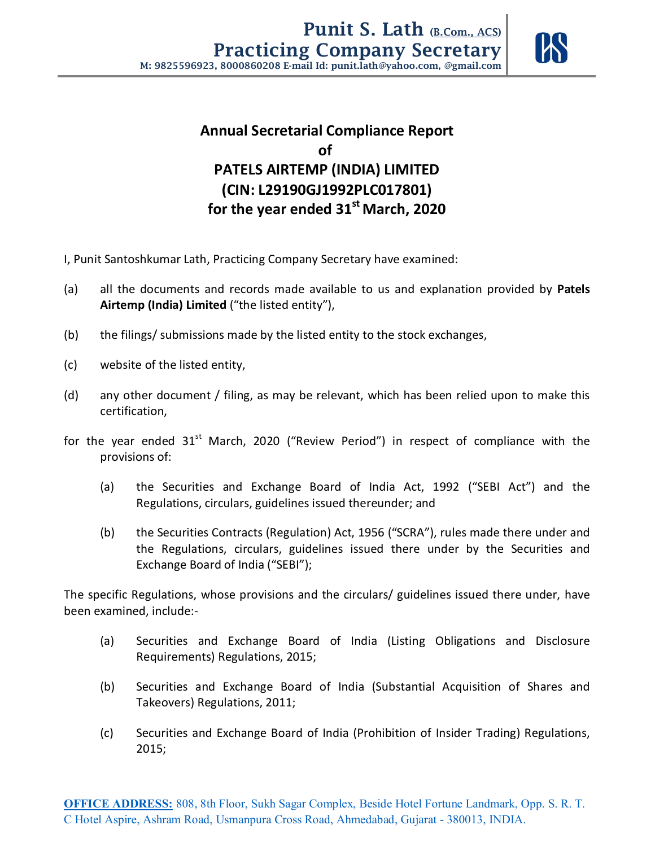

# **Annual Secretarial Compliance Report of PATELS AIRTEMP (INDIA) LIMITED (CIN: L29190GJ1992PLC017801) for the year ended 31st March, 2020**

- I, Punit Santoshkumar Lath, Practicing Company Secretary have examined:
- (a) all the documents and records made available to us and explanation provided by **Patels Airtemp (India) Limited** ("the listed entity"),
- (b) the filings/ submissions made by the listed entity to the stock exchanges,
- (c) website of the listed entity,
- (d) any other document / filing, as may be relevant, which has been relied upon to make this certification,
- for the year ended  $31<sup>st</sup>$  March, 2020 ("Review Period") in respect of compliance with the provisions of:
	- (a) the Securities and Exchange Board of India Act, 1992 ("SEBI Act") and the Regulations, circulars, guidelines issued thereunder; and
	- (b) the Securities Contracts (Regulation) Act, 1956 ("SCRA"), rules made there under and the Regulations, circulars, guidelines issued there under by the Securities and Exchange Board of India ("SEBI");

 The specific Regulations, whose provisions and the circulars/ guidelines issued there under, have been examined, include:-

- (a) Securities and Exchange Board of India (Listing Obligations and Disclosure Requirements) Regulations, 2015;
- (b) Securities and Exchange Board of India (Substantial Acquisition of Shares and Takeovers) Regulations, 2011;
- (c) Securities and Exchange Board of India (Prohibition of Insider Trading) Regulations, 2015;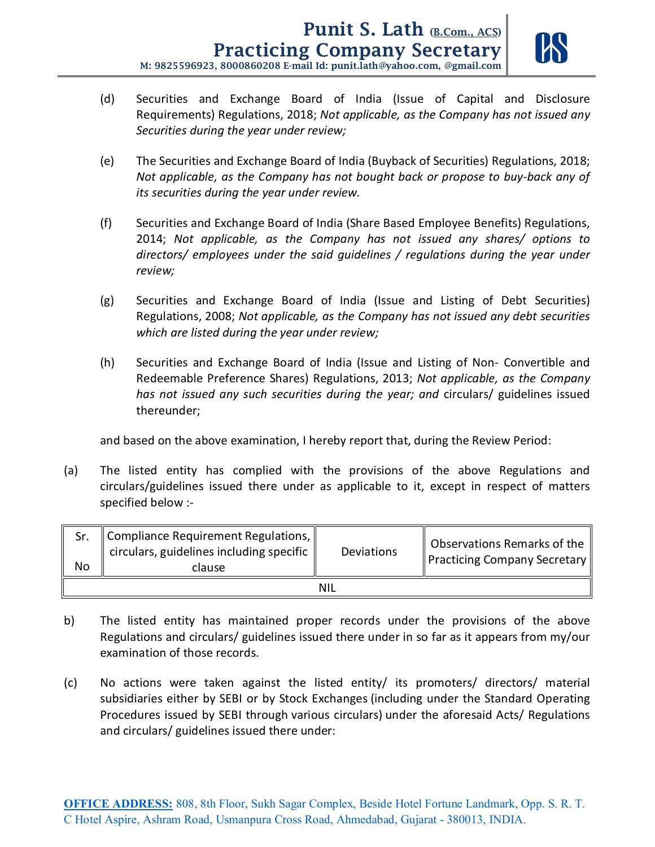

- (d) Securities and Exchange Board of India (Issue of Capital and Disclosure Requirements) Regulations, 2018; *Not applicable, as the Company has not issued any Securities during the year under review;*
- (e) The Securities and Exchange Board of India (Buyback of Securities) Regulations, 2018; *Not applicable, as the Company has not bought back or propose to buy-back any of its securities during the year under review.*
- (f) Securities and Exchange Board of India (Share Based Employee Benefits) Regulations, 2014; *Not applicable, as the Company has not issued any shares/ options to directors/ employees under the said guidelines / regulations during the year under review;*
- (g) Securities and Exchange Board of India (Issue and Listing of Debt Securities) Regulations, 2008; *Not applicable, as the Company has not issued any debt securities which are listed during the year under review;*
- (h) Securities and Exchange Board of India (Issue and Listing of Non- Convertible and Redeemable Preference Shares) Regulations, 2013; *Not applicable, as the Company has not issued any such securities during the year; and* circulars/ guidelines issued thereunder;

and based on the above examination, I hereby report that, during the Review Period:

(a) The listed entity has complied with the provisions of the above Regulations and circulars/guidelines issued there under as applicable to it, except in respect of matters specified below :-

| Sr.<br>No | $\parallel$ Compliance Requirement Regulations, $\parallel$<br>$\vert$ circulars, guidelines including specific $\Vert$<br>clause | Deviations | Observations Remarks of the  <br>Practicing Company Secretary |  |  |  |  |
|-----------|-----------------------------------------------------------------------------------------------------------------------------------|------------|---------------------------------------------------------------|--|--|--|--|
| NIL       |                                                                                                                                   |            |                                                               |  |  |  |  |

- b) The listed entity has maintained proper records under the provisions of the above Regulations and circulars/ guidelines issued there under in so far as it appears from my/our examination of those records.
- (c) No actions were taken against the listed entity/ its promoters/ directors/ material subsidiaries either by SEBI or by Stock Exchanges (including under the Standard Operating Procedures issued by SEBI through various circulars) under the aforesaid Acts/ Regulations and circulars/ guidelines issued there under: